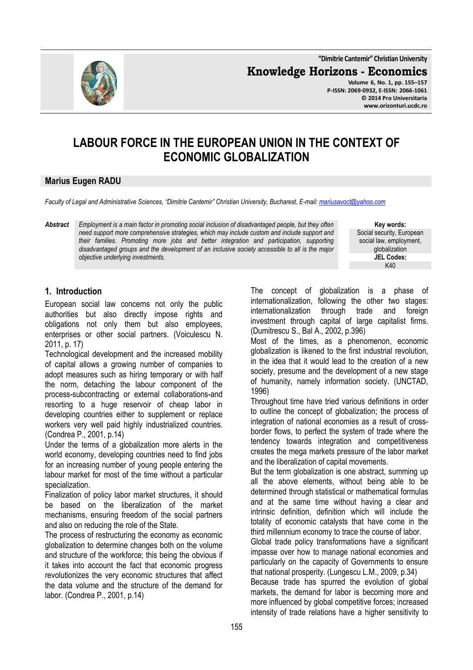**"Dimitrie Cantemir" Christian University**

**Knowledge Horizons - Economics**



**Volume 6, No. 1, pp. 155–157 P-ISSN: 2069-0932, E-ISSN: 2066-1061 © 2014 Pro Universitaria www.orizonturi.ucdc.ro**

# **LABOUR FORCE IN THE EUROPEAN UNION IN THE CONTEXT OF ECONOMIC GLOBALIZATION**

#### **Marius Eugen RADU**

*Faculty of Legal and Administrative Sciences, "Dimitrie Cantemir" Christian University, Bucharest, E-mail: mariusavoct@yahoo.com*

*Abstract Employment is a main factor in promoting social inclusion of disadvantaged people, but they often need support more comprehensive strategies, which may include custom and include support and their families. Promoting more jobs and better integration and participation, supporting disadvantaged groups and the development of an inclusive society accessible to all is the major objective underlying investments.* 

**Key words:** Social security, European social law, employment, globalization **JEL Codes:** K40

#### **1. Introduction**

European social law concerns not only the public authorities but also directly impose rights and obligations not only them but also employees, enterprises or other social partners. (Voiculescu N. 2011, p. 17)

Technological development and the increased mobility of capital allows a growing number of companies to adopt measures such as hiring temporary or with half the norm, detaching the labour component of the process-subcontracting or external collaborations-and resorting to a huge reservoir of cheap labor in developing countries either to supplement or replace workers very well paid highly industrialized countries. (Condrea P., 2001, p.14)

Under the terms of a globalization more alerts in the world economy, developing countries need to find jobs for an increasing number of young people entering the labour market for most of the time without a particular specialization.

Finalization of policy labor market structures, it should be based on the liberalization of the market mechanisms, ensuring freedom of the social partners and also on reducing the role of the State.

The process of restructuring the economy as economic globalization to determine changes both on the volume and structure of the workforce; this being the obvious if it takes into account the fact that economic progress revolutionizes the very economic structures that affect the data volume and the structure of the demand for labor. (Condrea P., 2001, p.14)

The concept of globalization is a phase of internationalization, following the other two stages: internationalization through trade and foreign investment through capital of large capitalist firms. (Dumitrescu S., Bal A., 2002, p.396)

Most of the times, as a phenomenon, economic globalization is likened to the first industrial revolution, in the idea that it would lead to the creation of a new society, presume and the development of a new stage of humanity, namely information society. (UNCTAD, 1996)

Throughout time have tried various definitions in order to outline the concept of globalization; the process of integration of national economies as a result of crossborder flows, to perfect the system of trade where the tendency towards integration and competitiveness creates the mega markets pressure of the labor market and the liberalization of capital movements.

But the term globalization is one abstract, summing up all the above elements, without being able to be determined through statistical or mathematical formulas and at the same time without having a clear and intrinsic definition, definition which will include the totality of economic catalysts that have come in the third millennium economy to trace the course of labor.

Global trade policy transformations have a significant impasse over how to manage national economies and particularly on the capacity of Governments to ensure that national prosperity. (Lungescu L.M., 2009, p.34)

Because trade has spurred the evolution of global markets, the demand for labor is becoming more and more influenced by global competitive forces; increased intensity of trade relations have a higher sensitivity to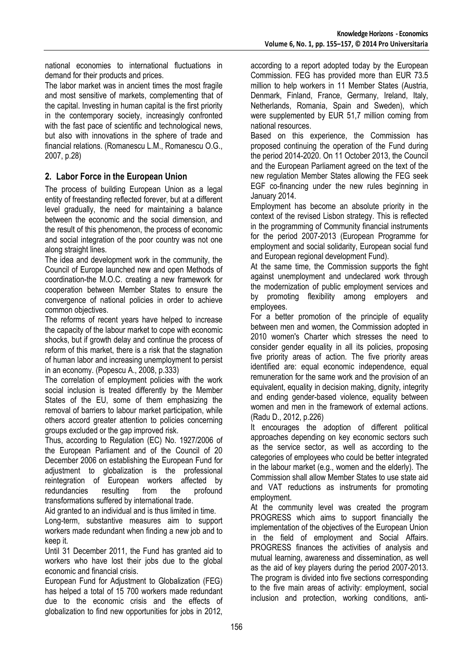national economies to international fluctuations in demand for their products and prices.

The labor market was in ancient times the most fragile and most sensitive of markets, complementing that of the capital. Investing in human capital is the first priority in the contemporary society, increasingly confronted with the fast pace of scientific and technological news, but also with innovations in the sphere of trade and financial relations. (Romanescu L.M., Romanescu O.G., 2007, p.28)

## **2. Labor Force in the European Union**

The process of building European Union as a legal entity of freestanding reflected forever, but at a different level gradually, the need for maintaining a balance between the economic and the social dimension, and the result of this phenomenon, the process of economic and social integration of the poor country was not one along straight lines.

The idea and development work in the community, the Council of Europe launched new and open Methods of coordination-the M.O.C. creating a new framework for cooperation between Member States to ensure the convergence of national policies in order to achieve common objectives.

The reforms of recent years have helped to increase the capacity of the labour market to cope with economic shocks, but if growth delay and continue the process of reform of this market, there is a risk that the stagnation of human labor and increasing unemployment to persist in an economy. (Popescu A., 2008, p.333)

The correlation of employment policies with the work social inclusion is treated differently by the Member States of the EU, some of them emphasizing the removal of barriers to labour market participation, while others accord greater attention to policies concerning groups excluded or the gap improved risk.

Thus, according to Regulation (EC) No. 1927/2006 of the European Parliament and of the Council of 20 December 2006 on establishing the European Fund for adjustment to globalization is the professional reintegration of European workers affected by redundancies resulting from the profound transformations suffered by international trade.

Aid granted to an individual and is thus limited in time.

Long-term, substantive measures aim to support workers made redundant when finding a new job and to keep it.

Until 31 December 2011, the Fund has granted aid to workers who have lost their jobs due to the global economic and financial crisis.

European Fund for Adjustment to Globalization (FEG) has helped a total of 15 700 workers made redundant due to the economic crisis and the effects of globalization to find new opportunities for jobs in 2012, according to a report adopted today by the European Commission. FEG has provided more than EUR 73.5 million to help workers in 11 Member States (Austria, Denmark, Finland, France, Germany, Ireland, Italy, Netherlands, Romania, Spain and Sweden), which were supplemented by EUR 51,7 million coming from national resources.

Based on this experience, the Commission has proposed continuing the operation of the Fund during the period 2014-2020. On 11 October 2013, the Council and the European Parliament agreed on the text of the new regulation Member States allowing the FEG seek EGF co-financing under the new rules beginning in January 2014.

Employment has become an absolute priority in the context of the revised Lisbon strategy. This is reflected in the programming of Community financial instruments for the period 2007-2013 (European Programme for employment and social solidarity, European social fund and European regional development Fund).

At the same time, the Commission supports the fight against unemployment and undeclared work through the modernization of public employment services and by promoting flexibility among employers and employees.

For a better promotion of the principle of equality between men and women, the Commission adopted in 2010 women's Charter which stresses the need to consider gender equality in all its policies, proposing five priority areas of action. The five priority areas identified are: equal economic independence, equal remuneration for the same work and the provision of an equivalent, equality in decision making, dignity, integrity and ending gender-based violence, equality between women and men in the framework of external actions. (Radu D., 2012, p.226)

It encourages the adoption of different political approaches depending on key economic sectors such as the service sector, as well as according to the categories of employees who could be better integrated in the labour market (e.g., women and the elderly). The Commission shall allow Member States to use state aid and VAT reductions as instruments for promoting employment.

At the community level was created the program PROGRESS which aims to support financially the implementation of the objectives of the European Union in the field of employment and Social Affairs. PROGRESS finances the activities of analysis and mutual learning, awareness and dissemination, as well as the aid of key players during the period 2007-2013. The program is divided into five sections corresponding to the five main areas of activity: employment, social inclusion and protection, working conditions, anti